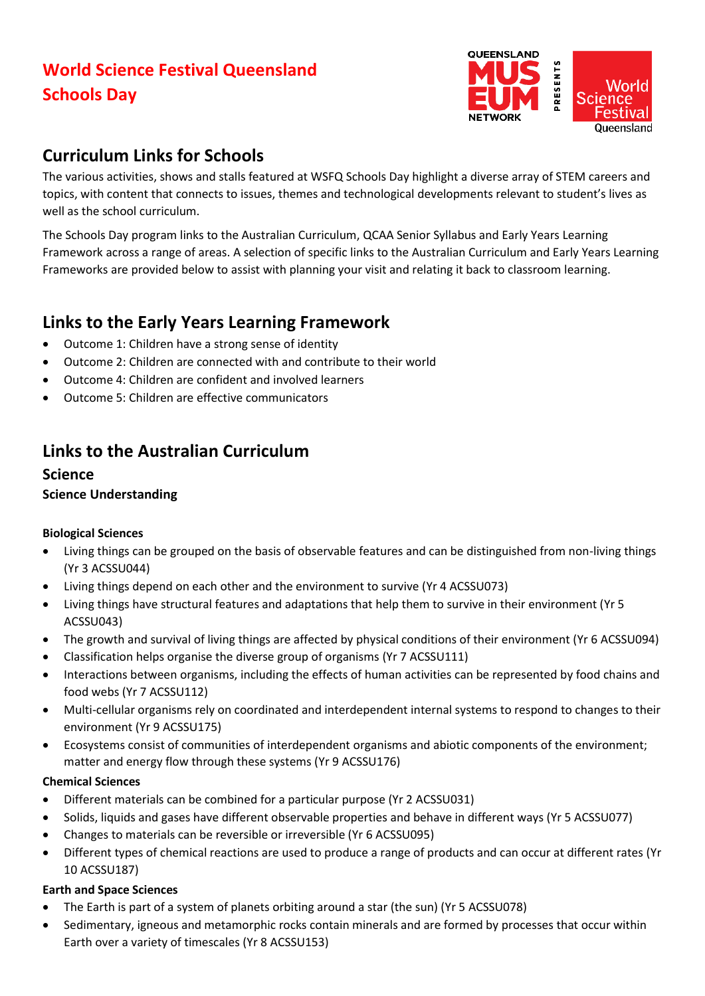# **World Science Festival Queensland Schools Day**



## **Curriculum Links for Schools**

The various activities, shows and stalls featured at WSFQ Schools Day highlight a diverse array of STEM careers and topics, with content that connects to issues, themes and technological developments relevant to student's lives as well as the school curriculum.

The Schools Day program links to the Australian Curriculum, QCAA Senior Syllabus and Early Years Learning Framework across a range of areas. A selection of specific links to the Australian Curriculum and Early Years Learning Frameworks are provided below to assist with planning your visit and relating it back to classroom learning.

# **Links to the Early Years Learning Framework**

- Outcome 1: Children have a strong sense of identity
- Outcome 2: Children are connected with and contribute to their world
- Outcome 4: Children are confident and involved learners
- Outcome 5: Children are effective communicators

# **Links to the Australian Curriculum**

### **Science Science Understanding**

#### **Biological Sciences**

- Living things can be grouped on the basis of observable features and can be distinguished from non-living things (Yr 3 ACSSU044)
- Living things depend on each other and the environment to survive (Yr 4 ACSSU073)
- Living things have structural features and adaptations that help them to survive in their environment (Yr 5 ACSSU043)
- The growth and survival of living things are affected by physical conditions of their environment (Yr 6 ACSSU094)
- Classification helps organise the diverse group of organisms (Yr 7 ACSSU111)
- Interactions between organisms, including the effects of human activities can be represented by food chains and food webs (Yr 7 ACSSU112)
- Multi-cellular organisms rely on coordinated and interdependent internal systems to respond to changes to their environment (Yr 9 ACSSU175)
- Ecosystems consist of communities of interdependent organisms and abiotic components of the environment; matter and energy flow through these systems (Yr 9 ACSSU176)

#### **Chemical Sciences**

- Different materials can be combined for a particular purpose (Yr 2 ACSSU031)
- Solids, liquids and gases have different observable properties and behave in different ways (Yr 5 ACSSU077)
- Changes to materials can be reversible or irreversible (Yr 6 ACSSU095)
- Different types of chemical reactions are used to produce a range of products and can occur at different rates (Yr 10 ACSSU187)

#### **Earth and Space Sciences**

- The Earth is part of a system of planets orbiting around a star (the sun) (Yr 5 ACSSU078)
- Sedimentary, igneous and metamorphic rocks contain minerals and are formed by processes that occur within Earth over a variety of timescales (Yr 8 ACSSU153)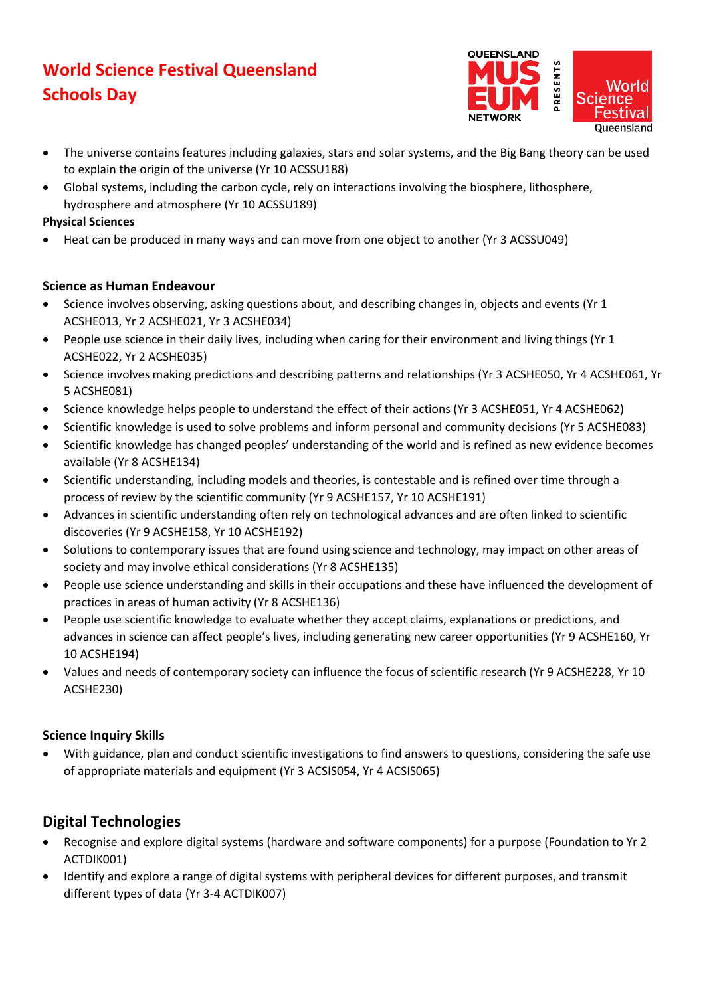# **World Science Festival Queensland Schools Day**



- The universe contains features including galaxies, stars and solar systems, and the Big Bang theory can be used to explain the origin of the universe (Yr 10 ACSSU188)
- Global systems, including the carbon cycle, rely on interactions involving the biosphere, lithosphere, hydrosphere and atmosphere (Yr 10 ACSSU189)

#### **Physical Sciences**

• Heat can be produced in many ways and can move from one object to another (Yr 3 ACSSU049)

#### **Science as Human Endeavour**

- Science involves observing, asking questions about, and describing changes in, objects and events (Yr 1 ACSHE013, Yr 2 ACSHE021, Yr 3 ACSHE034)
- People use science in their daily lives, including when caring for their environment and living things (Yr 1 ACSHE022, Yr 2 ACSHE035)
- Science involves making predictions and describing patterns and relationships (Yr 3 ACSHE050, Yr 4 ACSHE061, Yr 5 ACSHE081)
- Science knowledge helps people to understand the effect of their actions (Yr 3 ACSHE051, Yr 4 ACSHE062)
- Scientific knowledge is used to solve problems and inform personal and community decisions (Yr 5 ACSHE083)
- Scientific knowledge has changed peoples' understanding of the world and is refined as new evidence becomes available (Yr 8 ACSHE134)
- Scientific understanding, including models and theories, is contestable and is refined over time through a process of review by the scientific community (Yr 9 ACSHE157, Yr 10 ACSHE191)
- Advances in scientific understanding often rely on technological advances and are often linked to scientific discoveries (Yr 9 ACSHE158, Yr 10 ACSHE192)
- Solutions to contemporary issues that are found using science and technology, may impact on other areas of society and may involve ethical considerations (Yr 8 ACSHE135)
- People use science understanding and skills in their occupations and these have influenced the development of practices in areas of human activity (Yr 8 ACSHE136)
- People use scientific knowledge to evaluate whether they accept claims, explanations or predictions, and advances in science can affect people's lives, including generating new career opportunities (Yr 9 ACSHE160, Yr 10 ACSHE194)
- Values and needs of contemporary society can influence the focus of scientific research (Yr 9 ACSHE228, Yr 10 ACSHE230)

#### **Science Inquiry Skills**

• With guidance, plan and conduct scientific investigations to find answers to questions, considering the safe use of appropriate materials and equipment (Yr 3 ACSIS054, Yr 4 ACSIS065)

## **Digital Technologies**

- Recognise and explore digital systems (hardware and software components) for a purpose (Foundation to Yr 2 ACTDIK001)
- Identify and explore a range of digital systems with peripheral devices for different purposes, and transmit different types of data (Yr 3-4 ACTDIK007)